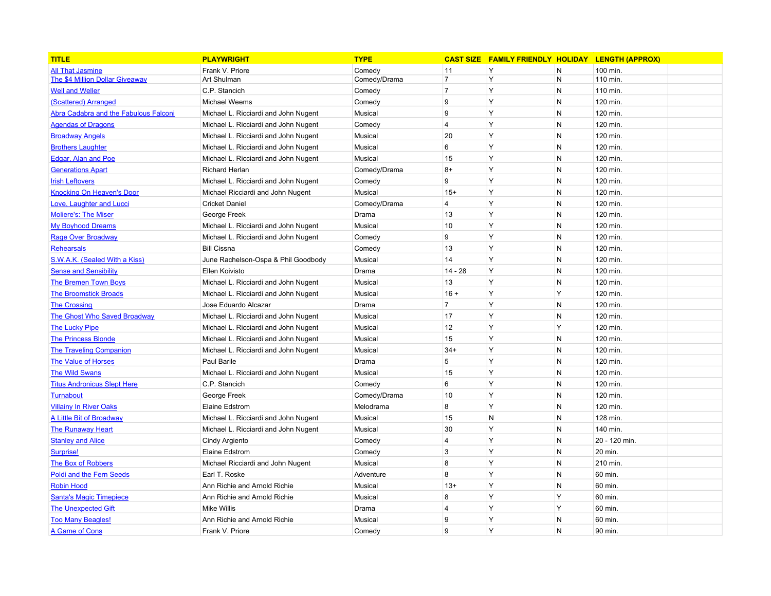| <b>TITLE</b>                                 | <b>PLAYWRIGHT</b>                    | <b>TYPE</b>  |                | <b>CAST SIZE FAMILY FRIENDLY HOLIDAY LENGTH (APPROX)</b> |                |               |
|----------------------------------------------|--------------------------------------|--------------|----------------|----------------------------------------------------------|----------------|---------------|
| <b>All That Jasmine</b>                      | Frank V. Priore                      | Comedy       | 11             | Y                                                        | N              | 100 min.      |
| <b>The \$4 Million Dollar Giveaway</b>       | Art Shulman                          | Comedy/Drama | $\overline{7}$ | Y                                                        | $\overline{N}$ | 110 min.      |
| <b>Well and Weller</b>                       | C.P. Stancich                        | Comedy       | $\overline{7}$ | Y                                                        | N              | 110 min.      |
| (Scattered) Arranged                         | Michael Weems                        | Comedy       | 9              | Y                                                        | $\mathsf{N}$   | 120 min.      |
| <b>Abra Cadabra and the Fabulous Falconi</b> | Michael L. Ricciardi and John Nugent | Musical      | 9              | Y                                                        | N              | 120 min.      |
| <b>Agendas of Dragons</b>                    | Michael L. Ricciardi and John Nugent | Comedy       | 4              | Y                                                        | $\mathsf{N}$   | 120 min.      |
| <b>Broadway Angels</b>                       | Michael L. Ricciardi and John Nugent | Musical      | 20             | Y                                                        | N              | 120 min.      |
| <b>Brothers Laughter</b>                     | Michael L. Ricciardi and John Nugent | Musical      | 6              | Y                                                        | $\mathsf{N}$   | 120 min.      |
| Edgar, Alan and Poe                          | Michael L. Ricciardi and John Nugent | Musical      | 15             | Υ                                                        | $\mathsf{N}$   | 120 min.      |
| <b>Generations Apart</b>                     | Richard Herlan                       | Comedy/Drama | $8+$           | Y                                                        | $\mathsf{N}$   | 120 min.      |
| <b>Irish Leftovers</b>                       | Michael L. Ricciardi and John Nugent | Comedy       | 9              | Y                                                        | N              | 120 min.      |
| <b>Knocking On Heaven's Door</b>             | Michael Ricciardi and John Nugent    | Musical      | $15+$          | Y                                                        | N              | 120 min.      |
| Love, Laughter and Lucci                     | <b>Cricket Daniel</b>                | Comedy/Drama | 4              | Y                                                        | N              | 120 min.      |
| <b>Moliere's: The Miser</b>                  | George Freek                         | Drama        | 13             | Y                                                        | N              | 120 min.      |
| <b>My Boyhood Dreams</b>                     | Michael L. Ricciardi and John Nugent | Musical      | 10             | Y                                                        | N              | 120 min.      |
| Rage Over Broadway                           | Michael L. Ricciardi and John Nugent | Comedy       | 9              | Y                                                        | N              | 120 min.      |
| <b>Rehearsals</b>                            | <b>Bill Cissna</b>                   | Comedy       | 13             | Y                                                        | N              | 120 min.      |
| S.W.A.K. (Sealed With a Kiss)                | June Rachelson-Ospa & Phil Goodbody  | Musical      | 14             | Y                                                        | N              | 120 min.      |
| <b>Sense and Sensibility</b>                 | Ellen Koivisto                       | Drama        | $14 - 28$      | Y                                                        | N              | 120 min.      |
| <b>The Bremen Town Boys</b>                  | Michael L. Ricciardi and John Nugent | Musical      | 13             | Y                                                        | N              | 120 min.      |
| <b>The Broomstick Broads</b>                 | Michael L. Ricciardi and John Nugent | Musical      | $16 +$         | Y                                                        | Y              | 120 min.      |
| <b>The Crossing</b>                          | Jose Eduardo Alcazar                 | Drama        | $\overline{7}$ | Y                                                        | N              | 120 min.      |
| The Ghost Who Saved Broadway                 | Michael L. Ricciardi and John Nugent | Musical      | 17             | Y                                                        | N              | 120 min.      |
| <b>The Lucky Pipe</b>                        | Michael L. Ricciardi and John Nugent | Musical      | 12             | Y                                                        | Y              | 120 min.      |
| <b>The Princess Blonde</b>                   | Michael L. Ricciardi and John Nugent | Musical      | 15             | Y                                                        | N              | 120 min.      |
| <b>The Traveling Companion</b>               | Michael L. Ricciardi and John Nugent | Musical      | $34+$          | Y                                                        | N              | 120 min.      |
| <b>The Value of Horses</b>                   | Paul Barile                          | Drama        | 5              | Y                                                        | N              | 120 min.      |
| <b>The Wild Swans</b>                        | Michael L. Ricciardi and John Nugent | Musical      | 15             | Y                                                        | N              | 120 min.      |
| <b>Titus Andronicus Slept Here</b>           | C.P. Stancich                        | Comedy       | 6              | Y                                                        | N              | 120 min.      |
| <b>Turnabout</b>                             | George Freek                         | Comedy/Drama | 10             | Y                                                        | N              | 120 min.      |
| <b>Villainy In River Oaks</b>                | <b>Elaine Edstrom</b>                | Melodrama    | 8              | Y                                                        | N              | 120 min.      |
| <b>A Little Bit of Broadway</b>              | Michael L. Ricciardi and John Nugent | Musical      | 15             | N                                                        | N              | 128 min.      |
| <b>The Runaway Heart</b>                     | Michael L. Ricciardi and John Nugent | Musical      | 30             | Y                                                        | N              | 140 min.      |
| <b>Stanley and Alice</b>                     | Cindy Argiento                       | Comedy       | $\overline{4}$ | Y                                                        | N              | 20 - 120 min. |
| Surprise!                                    | <b>Elaine Edstrom</b>                | Comedy       | 3              | Y                                                        | N              | 20 min.       |
| <b>The Box of Robbers</b>                    | Michael Ricciardi and John Nugent    | Musical      | 8              | Y                                                        | N              | 210 min.      |
| <b>Poldi and the Fern Seeds</b>              | Earl T. Roske                        | Adventure    | 8              | Y                                                        | N              | 60 min.       |
| <b>Robin Hood</b>                            | Ann Richie and Arnold Richie         | Musical      | $13+$          | Y                                                        | N              | 60 min.       |
| <b>Santa's Magic Timepiece</b>               | Ann Richie and Arnold Richie         | Musical      | 8              | Y                                                        | Y              | 60 min.       |
| <b>The Unexpected Gift</b>                   | <b>Mike Willis</b>                   | Drama        | 4              | Y                                                        | Y              | 60 min.       |
| <b>Too Many Beagles!</b>                     | Ann Richie and Arnold Richie         | Musical      | 9              | Y                                                        | N              | 60 min.       |
| A Game of Cons                               | Frank V. Priore                      | Comedy       | 9              | Y                                                        | N              | 90 min.       |